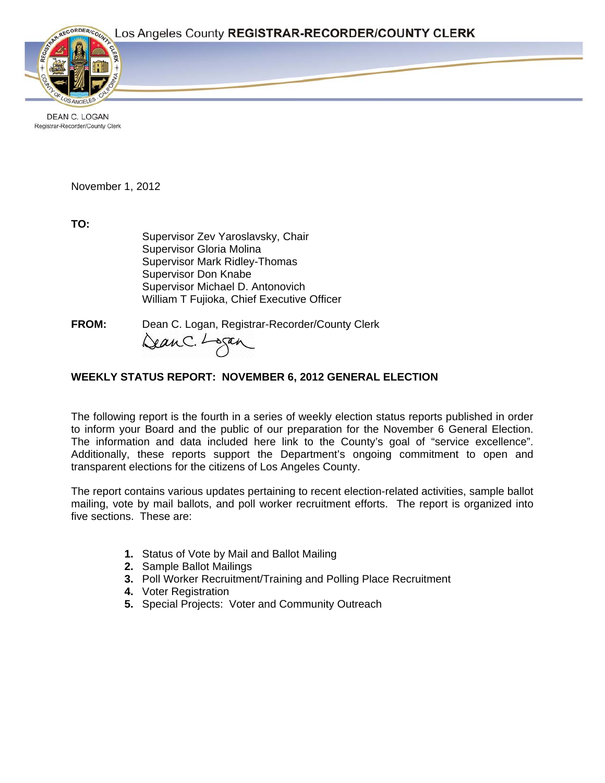

**DEAN C. LOGAN** Registrar-Recorder/County Clerk

November 1, 2012

**TO:**

Supervisor Zev Yaroslavsky, Chair Supervisor Gloria Molina Supervisor Mark Ridley-Thomas Supervisor Don Knabe Supervisor Michael D. Antonovich William T Fujioka, Chief Executive Officer

**FROM:** Dean C. Logan, Registrar-Recorder/County Clerk<br>Can C. Lagan

# **WEEKLY STATUS REPORT: NOVEMBER 6, 2012 GENERAL ELECTION**

The following report is the fourth in a series of weekly election status reports published in order to inform your Board and the public of our preparation for the November 6 General Election. The information and data included here link to the County's goal of "service excellence". Additionally, these reports support the Department's ongoing commitment to open and transparent elections for the citizens of Los Angeles County.

The report contains various updates pertaining to recent election-related activities, sample ballot mailing, vote by mail ballots, and poll worker recruitment efforts. The report is organized into five sections. These are:

- **1.** Status of Vote by Mail and Ballot Mailing
- **2.** Sample Ballot Mailings
- **3.** Poll Worker Recruitment/Training and Polling Place Recruitment
- **4.** Voter Registration
- **5.** Special Projects: Voter and Community Outreach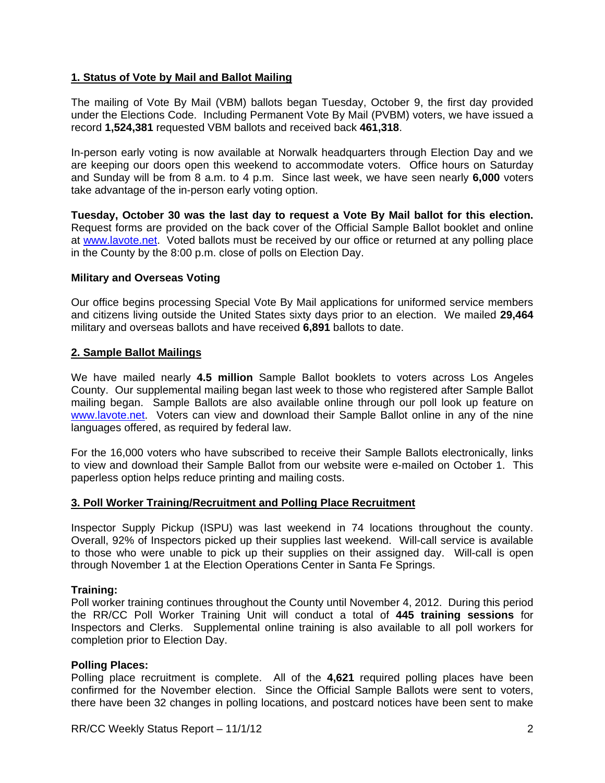## **1. Status of Vote by Mail and Ballot Mailing**

The mailing of Vote By Mail (VBM) ballots began Tuesday, October 9, the first day provided under the Elections Code. Including Permanent Vote By Mail (PVBM) voters, we have issued a record **1,524,381** requested VBM ballots and received back **461,318**.

In-person early voting is now available at Norwalk headquarters through Election Day and we are keeping our doors open this weekend to accommodate voters. Office hours on Saturday and Sunday will be from 8 a.m. to 4 p.m. Since last week, we have seen nearly **6,000** voters take advantage of the in-person early voting option.

**Tuesday, October 30 was the last day to request a Vote By Mail ballot for this election.**  Request forms are provided on the back cover of the Official Sample Ballot booklet and online at www.lavote.net. Voted ballots must be received by our office or returned at any polling place in the County by the 8:00 p.m. close of polls on Election Day.

### **Military and Overseas Voting**

Our office begins processing Special Vote By Mail applications for uniformed service members and citizens living outside the United States sixty days prior to an election. We mailed **29,464**  military and overseas ballots and have received **6,891** ballots to date.

### **2. Sample Ballot Mailings**

We have mailed nearly **4.5 million** Sample Ballot booklets to voters across Los Angeles County. Our supplemental mailing began last week to those who registered after Sample Ballot mailing began. Sample Ballots are also available online through our poll look up feature on www.lavote.net. Voters can view and download their Sample Ballot online in any of the nine languages offered, as required by federal law.

For the 16,000 voters who have subscribed to receive their Sample Ballots electronically, links to view and download their Sample Ballot from our website were e-mailed on October 1. This paperless option helps reduce printing and mailing costs.

#### **3. Poll Worker Training/Recruitment and Polling Place Recruitment**

Inspector Supply Pickup (ISPU) was last weekend in 74 locations throughout the county. Overall, 92% of Inspectors picked up their supplies last weekend. Will-call service is available to those who were unable to pick up their supplies on their assigned day. Will-call is open through November 1 at the Election Operations Center in Santa Fe Springs.

#### **Training:**

Poll worker training continues throughout the County until November 4, 2012. During this period the RR/CC Poll Worker Training Unit will conduct a total of **445 training sessions** for Inspectors and Clerks. Supplemental online training is also available to all poll workers for completion prior to Election Day.

#### **Polling Places:**

Polling place recruitment is complete. All of the **4,621** required polling places have been confirmed for the November election. Since the Official Sample Ballots were sent to voters, there have been 32 changes in polling locations, and postcard notices have been sent to make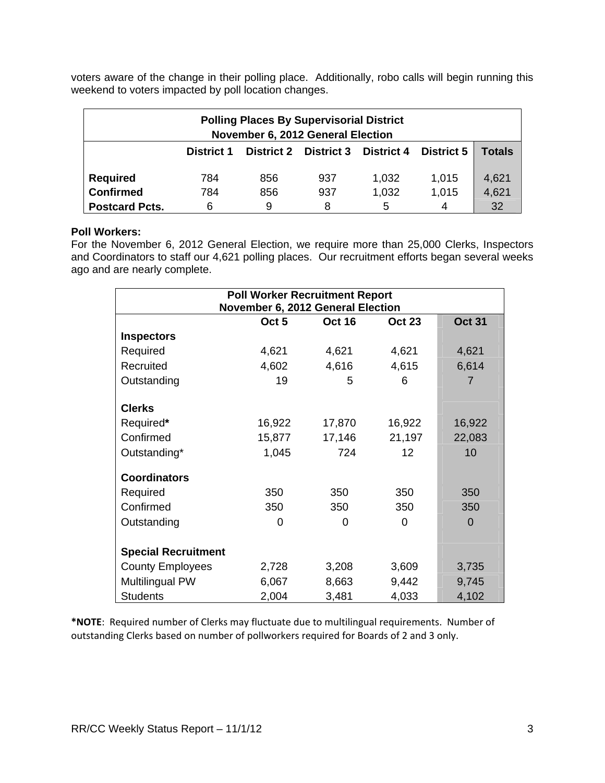voters aware of the change in their polling place. Additionally, robo calls will begin running this weekend to voters impacted by poll location changes.

| <b>Polling Places By Supervisorial District</b><br>November 6, 2012 General Election |                   |     |                              |            |                   |        |  |  |
|--------------------------------------------------------------------------------------|-------------------|-----|------------------------------|------------|-------------------|--------|--|--|
|                                                                                      | <b>District 1</b> |     | <b>District 2 District 3</b> | District 4 | <b>District 5</b> | Totals |  |  |
| <b>Required</b>                                                                      | 784               | 856 | 937                          | 1,032      | 1,015             | 4,621  |  |  |
| <b>Confirmed</b>                                                                     | 784               | 856 | 937                          | 1,032      | 1,015             | 4,621  |  |  |
| <b>Postcard Pcts.</b>                                                                | 6                 | 9   | 8                            | 5          | 4                 | 32     |  |  |

### **Poll Workers:**

For the November 6, 2012 General Election, we require more than 25,000 Clerks, Inspectors and Coordinators to staff our 4,621 polling places. Our recruitment efforts began several weeks ago and are nearly complete.

| <b>Poll Worker Recruitment Report</b><br>November 6, 2012 General Election |                  |               |               |                |  |  |
|----------------------------------------------------------------------------|------------------|---------------|---------------|----------------|--|--|
|                                                                            | Oct <sub>5</sub> | <b>Oct 16</b> | <b>Oct 23</b> | <b>Oct 31</b>  |  |  |
| <b>Inspectors</b>                                                          |                  |               |               |                |  |  |
| Required                                                                   | 4,621            | 4,621         | 4,621         | 4,621          |  |  |
| Recruited                                                                  | 4,602            | 4,616         | 4,615         | 6,614          |  |  |
| Outstanding                                                                | 19               | 5             | 6             | 7              |  |  |
|                                                                            |                  |               |               |                |  |  |
| <b>Clerks</b>                                                              |                  |               |               |                |  |  |
| Required*                                                                  | 16,922           | 17,870        | 16,922        | 16,922         |  |  |
| Confirmed                                                                  | 15,877           | 17,146        | 21,197        | 22,083         |  |  |
| Outstanding*                                                               | 1,045            | 724           | 12            | 10             |  |  |
| <b>Coordinators</b>                                                        |                  |               |               |                |  |  |
| Required                                                                   | 350              | 350           | 350           | 350            |  |  |
| Confirmed                                                                  | 350              | 350           | 350           | 350            |  |  |
| Outstanding                                                                | 0                | 0             | 0             | $\overline{0}$ |  |  |
|                                                                            |                  |               |               |                |  |  |
| <b>Special Recruitment</b>                                                 |                  |               |               |                |  |  |
| <b>County Employees</b>                                                    | 2,728            | 3,208         | 3,609         | 3,735          |  |  |
| Multilingual PW                                                            | 6,067            | 8,663         | 9,442         | 9,745          |  |  |
| <b>Students</b>                                                            | 2,004            | 3,481         | 4,033         | 4,102          |  |  |

**\*NOTE**: Required number of Clerks may fluctuate due to multilingual requirements. Number of outstanding Clerks based on number of pollworkers required for Boards of 2 and 3 only.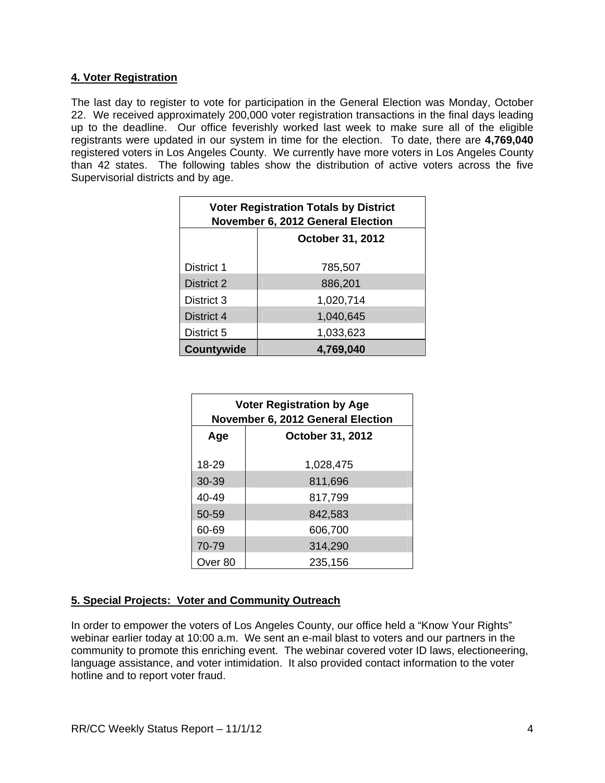## **4. Voter Registration**

The last day to register to vote for participation in the General Election was Monday, October 22. We received approximately 200,000 voter registration transactions in the final days leading up to the deadline. Our office feverishly worked last week to make sure all of the eligible registrants were updated in our system in time for the election. To date, there are **4,769,040** registered voters in Los Angeles County. We currently have more voters in Los Angeles County than 42 states. The following tables show the distribution of active voters across the five Supervisorial districts and by age.

| <b>Voter Registration Totals by District</b><br>November 6, 2012 General Election |                         |  |  |  |
|-----------------------------------------------------------------------------------|-------------------------|--|--|--|
|                                                                                   | <b>October 31, 2012</b> |  |  |  |
| District 1                                                                        | 785,507                 |  |  |  |
| District 2                                                                        | 886,201                 |  |  |  |
| District 3                                                                        | 1,020,714               |  |  |  |
| District 4                                                                        | 1,040,645               |  |  |  |
| District 5                                                                        | 1,033,623               |  |  |  |
| Countywide                                                                        | 4,769,040               |  |  |  |

| <b>Voter Registration by Age</b><br><b>November 6, 2012 General Election</b> |                         |  |  |  |
|------------------------------------------------------------------------------|-------------------------|--|--|--|
| Age                                                                          | <b>October 31, 2012</b> |  |  |  |
| 18-29                                                                        | 1,028,475               |  |  |  |
| $30 - 39$                                                                    | 811,696                 |  |  |  |
| $40 - 49$                                                                    | 817,799                 |  |  |  |
| 50-59                                                                        | 842,583                 |  |  |  |
| 60-69                                                                        | 606,700                 |  |  |  |
| 70-79                                                                        | 314,290                 |  |  |  |
| Over 80                                                                      | 235,156                 |  |  |  |

# **5. Special Projects: Voter and Community Outreach**

In order to empower the voters of Los Angeles County, our office held a "Know Your Rights" webinar earlier today at 10:00 a.m. We sent an e-mail blast to voters and our partners in the community to promote this enriching event. The webinar covered voter ID laws, electioneering, language assistance, and voter intimidation. It also provided contact information to the voter hotline and to report voter fraud.